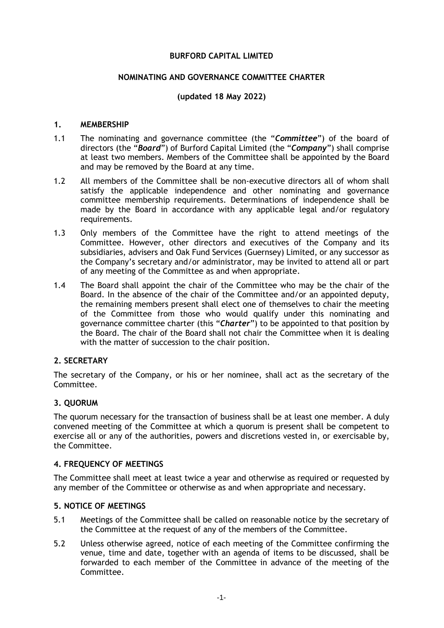## **BURFORD CAPITAL LIMITED**

## **NOMINATING AND GOVERNANCE COMMITTEE CHARTER**

# **(updated 18 May 2022)**

#### **1. MEMBERSHIP**

- 1.1 The nominating and governance committee (the "*Committee*") of the board of directors (the "*Board*") of Burford Capital Limited (the "*Company*") shall comprise at least two members. Members of the Committee shall be appointed by the Board and may be removed by the Board at any time.
- 1.2 All members of the Committee shall be non-executive directors all of whom shall satisfy the applicable independence and other nominating and governance committee membership requirements. Determinations of independence shall be made by the Board in accordance with any applicable legal and/or regulatory requirements.
- 1.3 Only members of the Committee have the right to attend meetings of the Committee. However, other directors and executives of the Company and its subsidiaries, advisers and Oak Fund Services (Guernsey) Limited, or any successor as the Company's secretary and/or administrator, may be invited to attend all or part of any meeting of the Committee as and when appropriate.
- 1.4 The Board shall appoint the chair of the Committee who may be the chair of the Board. In the absence of the chair of the Committee and/or an appointed deputy, the remaining members present shall elect one of themselves to chair the meeting of the Committee from those who would qualify under this nominating and governance committee charter (this "*Charter*") to be appointed to that position by the Board. The chair of the Board shall not chair the Committee when it is dealing with the matter of succession to the chair position.

## **2. SECRETARY**

The secretary of the Company, or his or her nominee, shall act as the secretary of the Committee.

## **3. QUORUM**

The quorum necessary for the transaction of business shall be at least one member. A duly convened meeting of the Committee at which a quorum is present shall be competent to exercise all or any of the authorities, powers and discretions vested in, or exercisable by, the Committee.

# **4. FREQUENCY OF MEETINGS**

The Committee shall meet at least twice a year and otherwise as required or requested by any member of the Committee or otherwise as and when appropriate and necessary.

## **5. NOTICE OF MEETINGS**

- 5.1 Meetings of the Committee shall be called on reasonable notice by the secretary of the Committee at the request of any of the members of the Committee.
- 5.2 Unless otherwise agreed, notice of each meeting of the Committee confirming the venue, time and date, together with an agenda of items to be discussed, shall be forwarded to each member of the Committee in advance of the meeting of the Committee.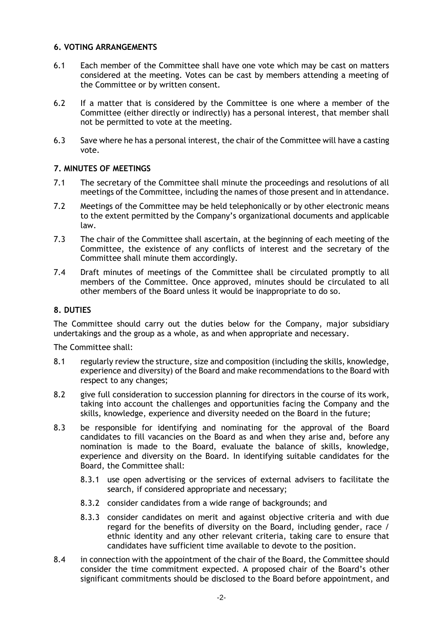## **6. VOTING ARRANGEMENTS**

- 6.1 Each member of the Committee shall have one vote which may be cast on matters considered at the meeting. Votes can be cast by members attending a meeting of the Committee or by written consent.
- 6.2 If a matter that is considered by the Committee is one where a member of the Committee (either directly or indirectly) has a personal interest, that member shall not be permitted to vote at the meeting.
- 6.3 Save where he has a personal interest, the chair of the Committee will have a casting vote.

# **7. MINUTES OF MEETINGS**

- 7.1 The secretary of the Committee shall minute the proceedings and resolutions of all meetings of the Committee, including the names of those present and in attendance.
- 7.2 Meetings of the Committee may be held telephonically or by other electronic means to the extent permitted by the Company's organizational documents and applicable law.
- 7.3 The chair of the Committee shall ascertain, at the beginning of each meeting of the Committee, the existence of any conflicts of interest and the secretary of the Committee shall minute them accordingly.
- 7.4 Draft minutes of meetings of the Committee shall be circulated promptly to all members of the Committee. Once approved, minutes should be circulated to all other members of the Board unless it would be inappropriate to do so.

# **8. DUTIES**

The Committee should carry out the duties below for the Company, major subsidiary undertakings and the group as a whole, as and when appropriate and necessary.

The Committee shall:

- 8.1 regularly review the structure, size and composition (including the skills, knowledge, experience and diversity) of the Board and make recommendations to the Board with respect to any changes;
- 8.2 give full consideration to succession planning for directors in the course of its work, taking into account the challenges and opportunities facing the Company and the skills, knowledge, experience and diversity needed on the Board in the future;
- 8.3 be responsible for identifying and nominating for the approval of the Board candidates to fill vacancies on the Board as and when they arise and, before any nomination is made to the Board, evaluate the balance of skills, knowledge, experience and diversity on the Board. In identifying suitable candidates for the Board, the Committee shall:
	- 8.3.1 use open advertising or the services of external advisers to facilitate the search, if considered appropriate and necessary;
	- 8.3.2 consider candidates from a wide range of backgrounds; and
	- 8.3.3 consider candidates on merit and against objective criteria and with due regard for the benefits of diversity on the Board, including gender, race / ethnic identity and any other relevant criteria, taking care to ensure that candidates have sufficient time available to devote to the position.
- 8.4 in connection with the appointment of the chair of the Board, the Committee should consider the time commitment expected. A proposed chair of the Board's other significant commitments should be disclosed to the Board before appointment, and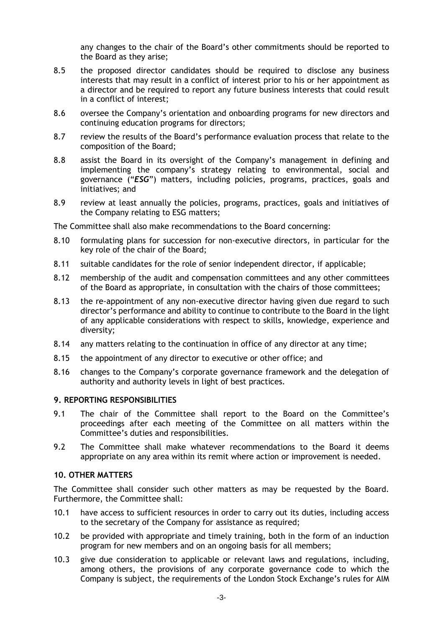any changes to the chair of the Board's other commitments should be reported to the Board as they arise;

- 8.5 the proposed director candidates should be required to disclose any business interests that may result in a conflict of interest prior to his or her appointment as a director and be required to report any future business interests that could result in a conflict of interest;
- 8.6 oversee the Company's orientation and onboarding programs for new directors and continuing education programs for directors;
- 8.7 review the results of the Board's performance evaluation process that relate to the composition of the Board;
- 8.8 assist the Board in its oversight of the Company's management in defining and implementing the company's strategy relating to environmental, social and governance ("*ESG*") matters, including policies, programs, practices, goals and initiatives; and
- 8.9 review at least annually the policies, programs, practices, goals and initiatives of the Company relating to ESG matters;

The Committee shall also make recommendations to the Board concerning:

- 8.10 formulating plans for succession for non-executive directors, in particular for the key role of the chair of the Board;
- 8.11 suitable candidates for the role of senior independent director, if applicable;
- 8.12 membership of the audit and compensation committees and any other committees of the Board as appropriate, in consultation with the chairs of those committees;
- 8.13 the re-appointment of any non-executive director having given due regard to such director's performance and ability to continue to contribute to the Board in the light of any applicable considerations with respect to skills, knowledge, experience and diversity;
- 8.14 any matters relating to the continuation in office of any director at any time;
- 8.15 the appointment of any director to executive or other office; and
- 8.16 changes to the Company's corporate governance framework and the delegation of authority and authority levels in light of best practices.

#### **9. REPORTING RESPONSIBILITIES**

- 9.1 The chair of the Committee shall report to the Board on the Committee's proceedings after each meeting of the Committee on all matters within the Committee's duties and responsibilities.
- 9.2 The Committee shall make whatever recommendations to the Board it deems appropriate on any area within its remit where action or improvement is needed.

## **10. OTHER MATTERS**

The Committee shall consider such other matters as may be requested by the Board. Furthermore, the Committee shall:

- 10.1 have access to sufficient resources in order to carry out its duties, including access to the secretary of the Company for assistance as required;
- 10.2 be provided with appropriate and timely training, both in the form of an induction program for new members and on an ongoing basis for all members;
- 10.3 give due consideration to applicable or relevant laws and regulations, including, among others, the provisions of any corporate governance code to which the Company is subject, the requirements of the London Stock Exchange's rules for AIM